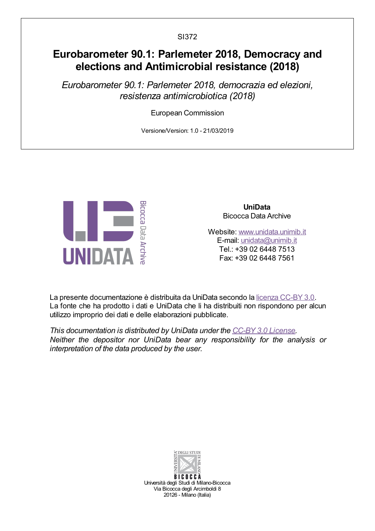SI372

# Eurobarometer 90.1: Parlemeter 2018, Democracy and elections and Antimicrobial resistance (2018)

Eurobarometer 90.1: Parlemeter 2018, democrazia ed elezioni, resistenza antimicrobiotica (2018)

European Commission

Versione/Version: 1.0 - 21/03/2019



UniData Bicocca Data Archive

Website: [www.unidata.unimib.it](http://www.unidata.unimib.it) E-mail: [unidata@unimib.it](mailto:unidata@unimib.it) Tel.: +39 02 6448 7513 Fax: +39 02 6448 7561

La presente documentazione è distribuita da UniData secondo la licenza [CC-BY](https://creativecommons.org/licenses/by/3.0/deed.it) 3.0. La fonte che ha prodotto i dati e UniData che li ha distribuiti non rispondono per alcun utilizzo improprio dei dati e delle elaborazioni pubblicate.

This documentation is distributed by UniData under the CC-BY 3.0 [License](https://creativecommons.org/licenses/by/3.0/). Neither the depositor nor UniData bear any responsibility for the analysis or interpretation of the data produced by the user.



**BICOCCA** Università degli Studi di Milano-Bicocca Via Bicocca degli Arcimboldi 8 20126 - Milano (Italia)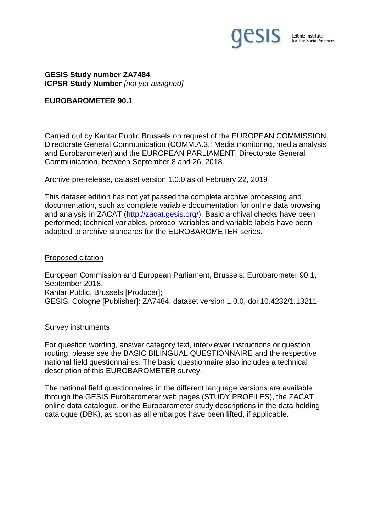

### **GESIS Study number ZA7484 ICPSR Study Number** *[not yet assigned]*

### **EUROBAROMETER 90.1**

Carried out by Kantar Public Brussels on request of the EUROPEAN COMMISSION, Directorate General Communication (COMM.A.3.: Media monitoring, media analysis and Eurobarometer) and the EUROPEAN PARLIAMENT, Directorate General Communication, between September 8 and 26, 2018.

Archive pre-release, dataset version 1.0.0 as of February 22, 2019

This dataset edition has not yet passed the complete archive processing and documentation, such as complete variable documentation for online data browsing and analysis in ZACAT (http://zacat.gesis.org/). Basic archival checks have been performed; technical variables, protocol variables and variable labels have been adapted to archive standards for the EUROBAROMETER series.

### Proposed citation

European Commission and European Parliament, Brussels: Eurobarometer 90.1, September 2018. Kantar Public, Brussels [Producer]; GESIS, Cologne [Publisher]: ZA7484, dataset version 1.0.0, doi:10.4232/1.13211

#### Survey instruments

For question wording, answer category text, interviewer instructions or question routing, please see the BASIC BILINGUAL QUESTIONNAIRE and the respective national field questionnaires. The basic questionnaire also includes a technical description of this EUROBAROMETER survey.

The national field questionnaires in the different language versions are available through the GESIS Eurobarometer web pages (STUDY PROFILES), the ZACAT online data catalogue, or the Eurobarometer study descriptions in the data holding catalogue (DBK), as soon as all embargos have been lifted, if applicable.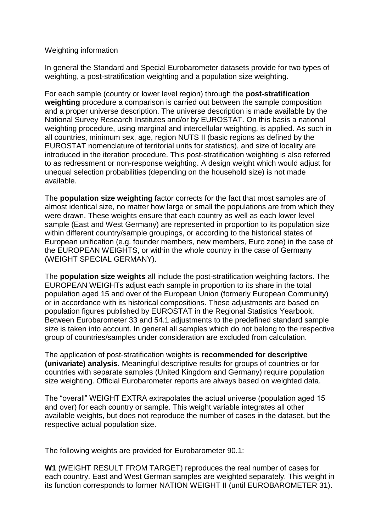### Weighting information

In general the Standard and Special Eurobarometer datasets provide for two types of weighting, a post-stratification weighting and a population size weighting.

For each sample (country or lower level region) through the **post-stratification weighting** procedure a comparison is carried out between the sample composition and a proper universe description. The universe description is made available by the National Survey Research Institutes and/or by EUROSTAT. On this basis a national weighting procedure, using marginal and intercellular weighting, is applied. As such in all countries, minimum sex, age, region NUTS II (basic regions as defined by the EUROSTAT nomenclature of territorial units for statistics), and size of locality are introduced in the iteration procedure. This post-stratification weighting is also referred to as redressment or non-response weighting. A design weight which would adjust for unequal selection probabilities (depending on the household size) is not made available.

The **population size weighting** factor corrects for the fact that most samples are of almost identical size, no matter how large or small the populations are from which they were drawn. These weights ensure that each country as well as each lower level sample (East and West Germany) are represented in proportion to its population size within different country/sample groupings, or according to the historical states of European unification (e.g. founder members, new members, Euro zone) in the case of the EUROPEAN WEIGHTS, or within the whole country in the case of Germany (WEIGHT SPECIAL GERMANY).

The **population size weights** all include the post-stratification weighting factors. The EUROPEAN WEIGHTs adjust each sample in proportion to its share in the total population aged 15 and over of the European Union (formerly European Community) or in accordance with its historical compositions. These adjustments are based on population figures published by EUROSTAT in the Regional Statistics Yearbook. Between Eurobarometer 33 and 54.1 adjustments to the predefined standard sample size is taken into account. In general all samples which do not belong to the respective group of countries/samples under consideration are excluded from calculation.

The application of post-stratification weights is **recommended for descriptive (univariate) analysis**. Meaningful descriptive results for groups of countries or for countries with separate samples (United Kingdom and Germany) require population size weighting. Official Eurobarometer reports are always based on weighted data.

The "overall" WEIGHT EXTRA extrapolates the actual universe (population aged 15 and over) for each country or sample. This weight variable integrates all other available weights, but does not reproduce the number of cases in the dataset, but the respective actual population size.

The following weights are provided for Eurobarometer 90.1:

**W1** (WEIGHT RESULT FROM TARGET) reproduces the real number of cases for each country. East and West German samples are weighted separately. This weight in its function corresponds to former NATION WEIGHT II (until EUROBAROMETER 31).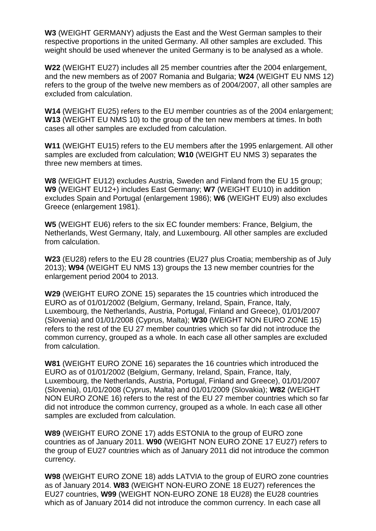**W3** (WEIGHT GERMANY) adjusts the East and the West German samples to their respective proportions in the united Germany. All other samples are excluded. This weight should be used whenever the united Germany is to be analysed as a whole.

**W22** (WEIGHT EU27) includes all 25 member countries after the 2004 enlargement, and the new members as of 2007 Romania and Bulgaria; **W24** (WEIGHT EU NMS 12) refers to the group of the twelve new members as of 2004/2007, all other samples are excluded from calculation.

**W14** (WEIGHT EU25) refers to the EU member countries as of the 2004 enlargement; **W13** (WEIGHT EU NMS 10) to the group of the ten new members at times. In both cases all other samples are excluded from calculation.

**W11** (WEIGHT EU15) refers to the EU members after the 1995 enlargement. All other samples are excluded from calculation; **W10** (WEIGHT EU NMS 3) separates the three new members at times.

**W8** (WEIGHT EU12) excludes Austria, Sweden and Finland from the EU 15 group; **W9** (WEIGHT EU12+) includes East Germany; **W7** (WEIGHT EU10) in addition excludes Spain and Portugal (enlargement 1986); **W6** (WEIGHT EU9) also excludes Greece (enlargement 1981).

**W5** (WEIGHT EU6) refers to the six EC founder members: France, Belgium, the Netherlands, West Germany, Italy, and Luxembourg. All other samples are excluded from calculation.

**W23** (EU28) refers to the EU 28 countries (EU27 plus Croatia; membership as of July 2013); **W94** (WEIGHT EU NMS 13) groups the 13 new member countries for the enlargement period 2004 to 2013.

**W29** (WEIGHT EURO ZONE 15) separates the 15 countries which introduced the EURO as of 01/01/2002 (Belgium, Germany, Ireland, Spain, France, Italy, Luxembourg, the Netherlands, Austria, Portugal, Finland and Greece), 01/01/2007 (Slovenia) and 01/01/2008 (Cyprus, Malta); **W30** (WEIGHT NON EURO ZONE 15) refers to the rest of the EU 27 member countries which so far did not introduce the common currency, grouped as a whole. In each case all other samples are excluded from calculation.

**W81** (WEIGHT EURO ZONE 16) separates the 16 countries which introduced the EURO as of 01/01/2002 (Belgium, Germany, Ireland, Spain, France, Italy, Luxembourg, the Netherlands, Austria, Portugal, Finland and Greece), 01/01/2007 (Slovenia), 01/01/2008 (Cyprus, Malta) and 01/01/2009 (Slovakia); **W82** (WEIGHT NON EURO ZONE 16) refers to the rest of the EU 27 member countries which so far did not introduce the common currency, grouped as a whole. In each case all other samples are excluded from calculation.

**W89** (WEIGHT EURO ZONE 17) adds ESTONIA to the group of EURO zone countries as of January 2011. **W90** (WEIGHT NON EURO ZONE 17 EU27) refers to the group of EU27 countries which as of January 2011 did not introduce the common currency.

**W98** (WEIGHT EURO ZONE 18) adds LATVIA to the group of EURO zone countries as of January 2014. **W83** (WEIGHT NON-EURO ZONE 18 EU27) references the EU27 countries, **W99** (WEIGHT NON-EURO ZONE 18 EU28) the EU28 countries which as of January 2014 did not introduce the common currency. In each case all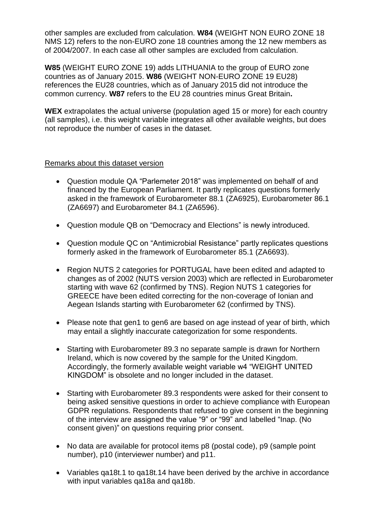other samples are excluded from calculation. **W84** (WEIGHT NON EURO ZONE 18 NMS 12) refers to the non-EURO zone 18 countries among the 12 new members as of 2004/2007. In each case all other samples are excluded from calculation.

**W85** (WEIGHT EURO ZONE 19) adds LITHUANIA to the group of EURO zone countries as of January 2015. **W86** (WEIGHT NON-EURO ZONE 19 EU28) references the EU28 countries, which as of January 2015 did not introduce the common currency. **W87** refers to the EU 28 countries minus Great Britain**.**

**WEX** extrapolates the actual universe (population aged 15 or more) for each country (all samples), i.e. this weight variable integrates all other available weights, but does not reproduce the number of cases in the dataset.

## Remarks about this dataset version

- Question module QA "Parlemeter 2018" was implemented on behalf of and financed by the European Parliament. It partly replicates questions formerly asked in the framework of Eurobarometer 88.1 (ZA6925), Eurobarometer 86.1 (ZA6697) and Eurobarometer 84.1 (ZA6596).
- Question module QB on "Democracy and Elections" is newly introduced.
- Question module QC on "Antimicrobial Resistance" partly replicates questions formerly asked in the framework of Eurobarometer 85.1 (ZA6693).
- Region NUTS 2 categories for PORTUGAL have been edited and adapted to changes as of 2002 (NUTS version 2003) which are reflected in Eurobarometer starting with wave 62 (confirmed by TNS). Region NUTS 1 categories for GREECE have been edited correcting for the non-coverage of Ionian and Aegean Islands starting with Eurobarometer 62 (confirmed by TNS).
- Please note that gen1 to gen6 are based on age instead of year of birth, which may entail a slightly inaccurate categorization for some respondents.
- Starting with Eurobarometer 89.3 no separate sample is drawn for Northern Ireland, which is now covered by the sample for the United Kingdom. Accordingly, the formerly available weight variable w4 "WEIGHT UNITED KINGDOM" is obsolete and no longer included in the dataset.
- Starting with Eurobarometer 89.3 respondents were asked for their consent to being asked sensitive questions in order to achieve compliance with European GDPR regulations. Respondents that refused to give consent in the beginning of the interview are assigned the value "9" or "99" and labelled "Inap. (No consent given)" on questions requiring prior consent.
- No data are available for protocol items p8 (postal code), p9 (sample point number), p10 (interviewer number) and p11.
- Variables qa18t.1 to qa18t.14 have been derived by the archive in accordance with input variables ga18a and ga18b.